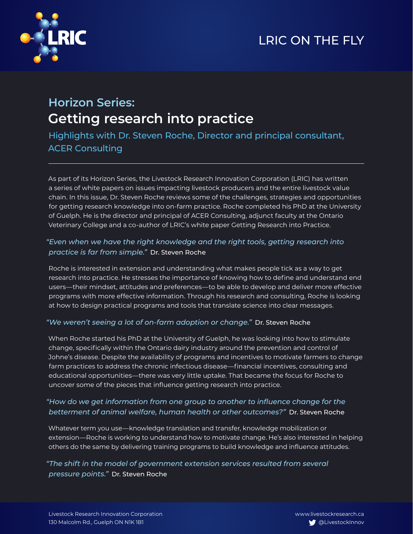



## **Horizon Series: Getting research into practice**

Highlights with Dr. Steven Roche, Director and principal consultant, ACER Consulting

As part of its Horizon Series, the Livestock Research Innovation Corporation (LRIC) has written a series of white papers on issues impacting livestock producers and the entire livestock value chain. In this issue, Dr. Steven Roche reviews some of the challenges, strategies and opportunities for getting research knowledge into on-farm practice. Roche completed his PhD at the University of Guelph. He is the director and principal of ACER Consulting, adjunct faculty at the Ontario Veterinary College and a co-author of LRIC's white paper Getting Research into Practice.

### *"Even when we have the right knowledge and the right tools, getting research into practice is far from simple."* Dr. Steven Roche

Roche is interested in extension and understanding what makes people tick as a way to get research into practice. He stresses the importance of knowing how to define and understand end users—their mindset, attitudes and preferences—to be able to develop and deliver more effective programs with more effective information. Through his research and consulting, Roche is looking at how to design practical programs and tools that translate science into clear messages.

#### *"We weren't seeing a lot of on-farm adoption or change."* Dr. Steven Roche

When Roche started his PhD at the University of Guelph, he was looking into how to stimulate change, specifically within the Ontario dairy industry around the prevention and control of Johne's disease. Despite the availability of programs and incentives to motivate farmers to change farm practices to address the chronic infectious disease—financial incentives, consulting and educational opportunities—there was very little uptake. That became the focus for Roche to uncover some of the pieces that influence getting research into practice.

#### *"How do we get information from one group to another to influence change for the betterment of animal welfare, human health or other outcomes?"* Dr. Steven Roche

Whatever term you use—knowledge translation and transfer, knowledge mobilization or extension—Roche is working to understand how to motivate change. He's also interested in helping others do the same by delivering training programs to build knowledge and influence attitudes.

#### *"The shift in the model of government extension services resulted from several pressure points."* Dr. Steven Roche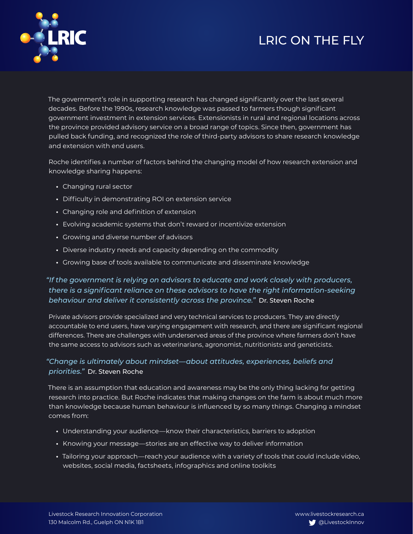## LRIC ON THE FLY



The government's role in supporting research has changed significantly over the last several decades. Before the 1990s, research knowledge was passed to farmers though significant government investment in extension services. Extensionists in rural and regional locations across the province provided advisory service on a broad range of topics. Since then, government has pulled back funding, and recognized the role of third-party advisors to share research knowledge and extension with end users.

Roche identifies a number of factors behind the changing model of how research extension and knowledge sharing happens:

- **•** Changing rural sector
- **•** Difficulty in demonstrating ROI on extension service
- **•** Changing role and definition of extension
- **•** Evolving academic systems that don't reward or incentivize extension
- **•** Growing and diverse number of advisors
- **•** Diverse industry needs and capacity depending on the commodity
- **•** Growing base of tools available to communicate and disseminate knowledge

### *"If the government is relying on advisors to educate and work closely with producers, there is a significant reliance on these advisors to have the right information-seeking behaviour and deliver it consistently across the province."* Dr. Steven Roche

Private advisors provide specialized and very technical services to producers. They are directly accountable to end users, have varying engagement with research, and there are significant regional differences. There are challenges with underserved areas of the province where farmers don't have the same access to advisors such as veterinarians, agronomist, nutritionists and geneticists.

#### *"Change is ultimately about mindset—about attitudes, experiences, beliefs and priorities."* Dr. Steven Roche

There is an assumption that education and awareness may be the only thing lacking for getting research into practice. But Roche indicates that making changes on the farm is about much more than knowledge because human behaviour is influenced by so many things. Changing a mindset comes from:

- **•** Understanding your audience—know their characteristics, barriers to adoption
- **•** Knowing your message—stories are an effective way to deliver information
- **•** Tailoring your approach—reach your audience with a variety of tools that could include video, websites, social media, factsheets, infographics and online toolkits